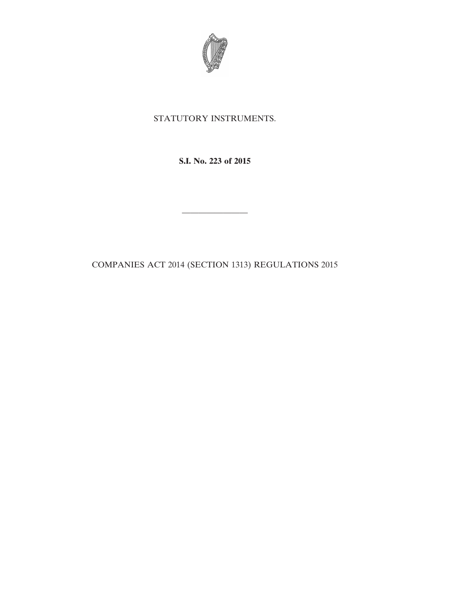

## STATUTORY INSTRUMENTS.

**S.I. No. 223 of 2015**

————————

COMPANIES ACT 2014 (SECTION 1313) REGULATIONS 2015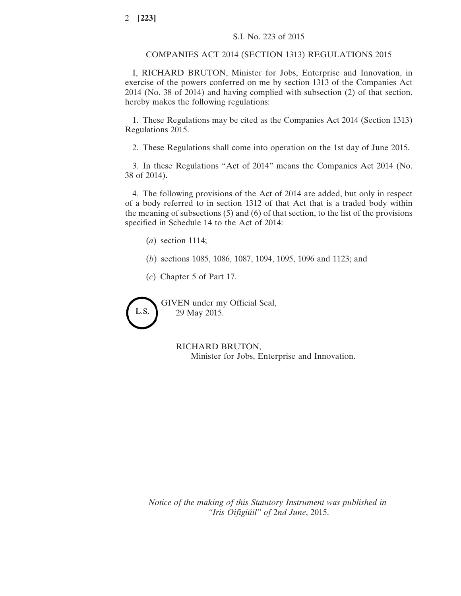## COMPANIES ACT 2014 (SECTION 1313) REGULATIONS 2015

I, RICHARD BRUTON, Minister for Jobs, Enterprise and Innovation, in exercise of the powers conferred on me by section 1313 of the Companies Act 2014 (No. 38 of 2014) and having complied with subsection (2) of that section, hereby makes the following regulations:

1. These Regulations may be cited as the Companies Act 2014 (Section 1313) Regulations 2015.

2. These Regulations shall come into operation on the 1st day of June 2015.

3. In these Regulations "Act of 2014" means the Companies Act 2014 (No. 38 of 2014).

4. The following provisions of the Act of 2014 are added, but only in respect of a body referred to in section 1312 of that Act that is a traded body within the meaning of subsections (5) and (6) of that section, to the list of the provisions specified in Schedule 14 to the Act of 2014:

(*a*) section 1114;

- (*b*) sections 1085, 1086, 1087, 1094, 1095, 1096 and 1123; and
- (*c*) Chapter 5 of Part 17.



RICHARD BRUTON, Minister for Jobs, Enterprise and Innovation.

*Notice of the making of this Statutory Instrument was published in "Iris Oifigiúil" of* 2*nd June*, 2015.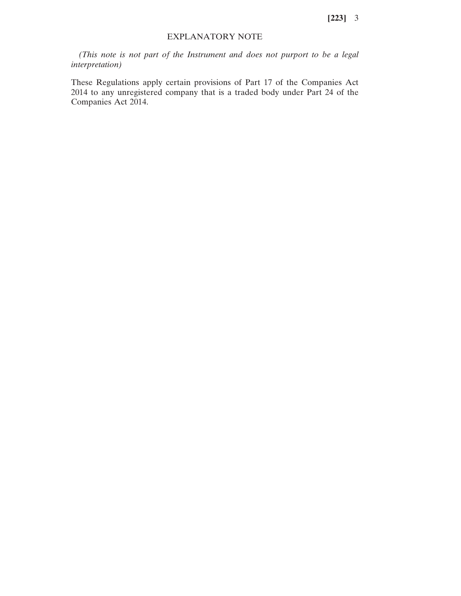**[223]** 3

## EXPLANATORY NOTE

*(This note is not part of the Instrument and does not purport to be a legal interpretation)*

These Regulations apply certain provisions of Part 17 of the Companies Act 2014 to any unregistered company that is a traded body under Part 24 of the Companies Act 2014.